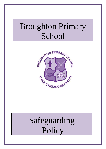# Broughton Primary School



# Safeguarding Policy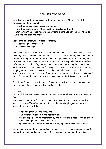# SAFEGUARDING POLICY

In Safeguarding Children: Working together under the Children Act 2004, safeguarding is defined as;

- protecting children from abuse and neglect;
- preventing impairment of their health or development; and
- ensuring that they receive safe and effective care; .so as to enable them to have the optimum life chance.

Safeguarding outcomes for learners means;

- Learners feel safe; and
- Learners are safe:

The Governors and staff of our school fully recognise the contribution it makes to safeguarding children. We recognise that all staff, including volunteers, has a full and active part to play in protecting our pupils from all kinds of harm, and that we must take reasonable steps to ensure that our pupils feel safe and are safe while in school. Safeguarding is not just about protecting learners from deliberate harm, it includes the following; the health and safety of the learner, bullying, racist abuse, harassment and discrimination, use of physical intervention, meeting the needs of learners with medical conditions; provision of first aid, drug and substance misuse, educational visits, internet safety and security.

Broughton School has a wide range of measures that are in place to ensure all those in our school community feel, and are, safe.

# First Aid

In school there are always trained members of staff who volunteer to oversee first aid.

There are a number of first aid kits situated around school. When a child is poorly, or has suffered an accident in school or on the playground there is a protocol for staff to follow:

- A trained first aider is consulted
- The incident is logged in the accident book
- For any pupil receiving treatment by the first aider a note is issued and if necessary a parent/carer is contacted.
- If there is any concern regarding a pupil, a parent/carer is contacted.

In the case of a pupil needing medication during the day parents are welcome to come into school to administer correct dosages or sign a consent form for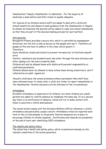Headteacher/ Deputy Headteacher to administer. For the majority of medicines a dose before and after school is usually adequate.

For injuries of an intimate nature staff are asked to deal with a child with utmost sensitivity and always to seek guidance from the Headteacher or Deputy. In almost all situations the parents will be asked to come into school immediately so that they are part of the decision making process for such matters.

# Site security

Broughton Primary provides a secure site, which is controlled by management directives, but the site is only as secure as the people who use it. Therefore all people on the site have to adhere to the rules, which govern it.

Therefore:

Doors should be closed and locked to prevent intrusion but to facilitate smooth exits.

Visitors, volunteers and students must only enter through the main entrance and after signing in at the main reception desk.

Children will only be allowed home with adults with parental responsibility or confirmed permission.

Children should never be allowed to leave school alone during school hours, and if collected by an adult, signed out.

Should a child leave the school premises without permission then staff have been informed never to chase after a child, but rather to report immediately to the Headteacher. Parents and police will be informed of the circumstances.

# Attendance

Excellent attendance is expected of all children, but when children are unwell parents are asked to confirm absence by telephone the same day. If on a second day there is no notification of absence, school will try to make contact with home to ascertain a child's whereabouts.

The school works closely with the Inclusion Welfare Officer whenever a child's attendance and punctuality causes concern. Attendance rates are reported each term to the LA and annually to all parents. Positive measures are in place to encourage children to attend regularly. Certificates and rewards are presented at the end of each year identifying 100% attendance.

# The Health and Safety Policy

The school has a health and safety policy, which is monitored annually by the relevant committee of the school governors.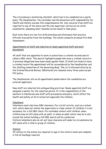The LA produces a monitoring checklist, which has to be completed on a yearly basis. The Headteacher, the caretaker and the Governors with responsibility for Health and Safety oversee this comprehensive list. Any concerns from staff are reported to any of the above and the site supervisor carries out an initial examination, assessing what remedial action needs to take place.

Each term there are two fire drills (morning and afternoon) that practice efficient evacuation from the buildings. The school conducts an annual Fire Risk Assessment.

# Appointments of staff and induction of newly appointed staff and work placements

All staff that are appointed to work in school have a criminal records search called a DBS check. This search highlights people who have a criminal record or if previous allegations have been made against them. If staff are found to have a criminal record the appointment will be reconsidered by the Headteacher and the Staffing Committee of the Governing Body. The LA is informed directly by the Criminal Records Bureau. DBSchecks are renewed every three years as per FCC policy.

The Headteacher sits on all appointment panels where the candidates are external applicants.

New staff are inducted into safeguarding practices. Newly appointed staff are assigned a mentor for the induction period. It is the responsibility of the mentors to familiarise new staff with procedures and policy, which affect the health and safety of all at school but especially the children.

#### Volunteers

Volunteers must also have DBS clearance. For a brief activity, such as a school visit, which does not involve the supervision or close contact of children it is not necessary for a full DBS check. For extended contact with children, when children may be left alone with an adult, or when an adult visitor may be in and around the school building a full DBS search will be conducted.

Visitors/volunteers who do not yet have clearance will under no circumstance be left alone with a child or group of children.

#### Visitors

All visitors to the school are required to sign in the visitor's book and complete in full all headings required.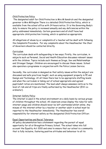#### Child Protection Policy

The designated adult for Child Protection is Mrs M Kendrick and the designated governor is Mrs Millington There is a detailed Child Protection Policy, which is available from the school office with 24 hours notice. It is the Governing Body's duty to ensure the policy is reviewed annually and any deficiencies within the policy addressed immediately. Certain governors and all staff have had appropriate child protection training, which is updated as appropriate.

All allegations of abuse by or complaints of a teacher will be dealt with following the Complaints Procedure. For any complaints about the Headteacher the Chair of Governors should be contacted directly.

#### Curriculum

The curriculum deals with safeguarding in two ways. Firstly, the curriculum, in subjects such as Personal, Social and Health Education discusses relevant issues with the children. Topics include such themes as Drugs, Sex and Relationships and Stranger Danger. Children are encouraged to discuss these issues. School also operates a programme in conjunction with the Police Liaison Service.

Secondly, the curriculum is designed so that safety issues within the subject are discussed and safe practices taught, such as using equipment properly in PE and Design and Technology. At all times there has to be appropriate staffing levels and when the curriculum is taking out of school appropriate and agreed pupil/adult ratios are maintained. The lead adult always assesses visits as to the level of risk and all trips are finally authorised by the Headteacher (EVC coordinator).

# Internet Safety Policy

The internet is used in the school environment on a daily basis by various groups of children throughout the school. All classroom areas display the rules for safe internet usage and children should never be left unattended whilst online. Any misuse of the internet either by a teacher or another adult in school must be reported to the Headteacher immediately. The Headteacher has overall responsibility for internet safety as the designated Child Protection Officer.

# Equal Opportunities and Racial Tolerance

All policy documentation has a statement regarding the pursuit of equal opportunity for all at Broughton Primary School. The school takes into full account the Equality Act 2010 and aims to ensure that our school is a community that is fully inclusive, fostering positive attitudes and behaviour to all its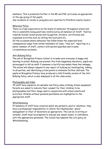members. This is promoted further in the RE and PSE curriculum as appropriate to the age group of the pupils.

Any incidents of racism or prejudice are reported to Flintshire County Council.

#### Behaviour Policy

There is a high expectation on the levels of behaviour throughout school and this is constantly being positively reinforced by all members of Staff. Positive rewards include verbal praise and recognition, stickers, certificates and organised activities such as visiting the local park etc.

On the occasions where behaviour has fallen below the expected level, consequences range from verbal reminders of rules, "time out", reporting to a senior member of staff, contact with parent/guardian and in some circumstances exclusion.

#### Anti Bullying Policy

The aim of Broughton Primary School is to make sure everyone is happy and learning in school. Bullying can prevent this from happening therefore, pupils are encouraged to tell an adult if someone is hurtful and makes them feel unhappy. The school will always respond to any report of bullying by investigating, talking to all parties, and identifying action points to eliminate further distress. The pupils at Broughton Primary have produced a child friendly version of the Anti Bullying Policy, which is also displayed in all the class areas.

#### Photography and Video

All staff have signed an Acceptable Use Policy when utilising School equipment. Parents are asked to indicate their consent for their children to be photographed and their image used in conjunction with school events and activities. Children without parental permission are highlighted to the appropriate staff.

#### Whistleblowing

If members of staff have concerns about any person/s, paid or voluntary, they have a professional responsibility to inform the Headteacher, senior management or Chair of Governors as appropriate. This can be in writing or verbally. Staff must be prepared to discuss any issues raised, in confidence, with the appropriate personnel. The School has adopted the LA's policy on Whistleblowing.